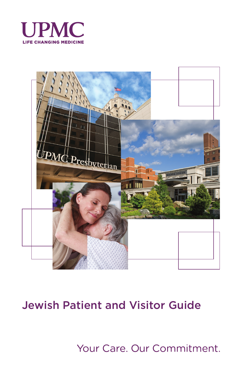



# Jewish Patient and Visitor Guide

Your Care. Our Commitment.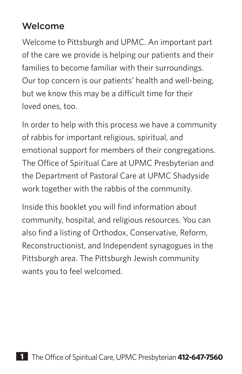### Welcome

Welcome to Pittsburgh and UPMC. An important part of the care we provide is helping our patients and their families to become familiar with their surroundings. Our top concern is our patients' health and well-being, but we know this may be a difficult time for their loved ones, too.

In order to help with this process we have a community of rabbis for important religious, spiritual, and emotional support for members of their congregations. The Office of Spiritual Care at UPMC Presbyterian and the Department of Pastoral Care at UPMC Shadyside work together with the rabbis of the community.

Inside this booklet you will find information about community, hospital, and religious resources. You can also find a listing of Orthodox, Conservative, Reform, Reconstructionist, and Independent synagogues in the Pittsburgh area. The Pittsburgh Jewish community wants you to feel welcomed.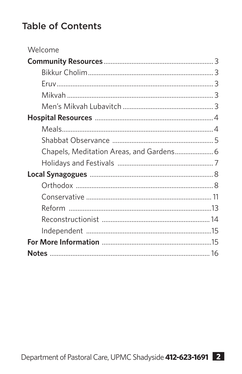## **Table of Contents**

| Welcome                                  |  |
|------------------------------------------|--|
|                                          |  |
|                                          |  |
|                                          |  |
|                                          |  |
|                                          |  |
|                                          |  |
|                                          |  |
|                                          |  |
| Chapels, Meditation Areas, and Gardens 6 |  |
|                                          |  |
|                                          |  |
|                                          |  |
|                                          |  |
|                                          |  |
|                                          |  |
|                                          |  |
|                                          |  |
|                                          |  |
|                                          |  |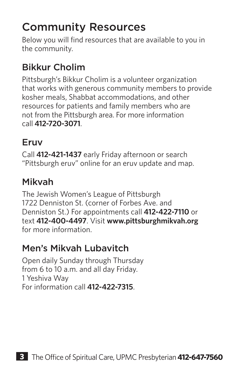# Community Resources

Below you will find resources that are available to you in the community.

## Bikkur Cholim

Pittsburgh's Bikkur Cholim is a volunteer organization that works with generous community members to provide kosher meals, Shabbat accommodations, and other resources for patients and family members who are not from the Pittsburgh area. For more information call **412-720-3071**.

### Eruv

Call **412-421-1437** early Friday afternoon or search "Pittsburgh eruv" online for an eruv update and map.

### Mikvah

The Jewish Women's League of Pittsburgh 1722 Denniston St. (corner of Forbes Ave. and Denniston St.) For appointments call **412-422-7110** or text **412-400-4497**. Visit **www.pittsburghmikvah.org** for more information.

### Men's Mikvah Lubavitch

Open daily Sunday through Thursday from 6 to 10 a.m. and all day Friday. 1 Yeshiva Way For information call **412-422-7315**.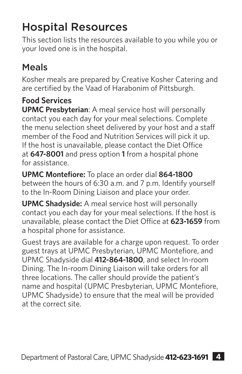# Hospital Resources

This section lists the resources available to you while you or your loved one is in the hospital.

## Meals

Kosher meals are prepared by Creative Kosher Catering and are certified by the Vaad of Harabonim of Pittsburgh.

### **Food Services**

**UPMC Presbyterian**: A meal service host will personally contact you each day for your meal selections. Complete the menu selection sheet delivered by your host and a staff member of the Food and Nutrition Services will pick it up. If the host is unavailable, please contact the Diet Office at **647-8001** and press option **1** from a hospital phone for assistance.

**UPMC Montefiore:** To place an order dial **864-1800** between the hours of 6:30 a.m. and 7 p.m. Identify yourself to the In-Room Dining Liaison and place your order.

**UPMC Shadyside:** A meal service host will personally contact you each day for your meal selections. If the host is unavailable, please contact the Diet Office at **623-1659** from a hospital phone for assistance.

Guest trays are available for a charge upon request. To order guest trays at UPMC Presbyterian, UPMC Montefiore, and UPMC Shadyside dial **412-864-1800**, and select In-room Dining. The In-room Dining Liaison will take orders for all three locations. The caller should provide the patient's name and hospital (UPMC Presbyterian, UPMC Montefiore, UPMC Shadyside) to ensure that the meal will be provided at the correct site.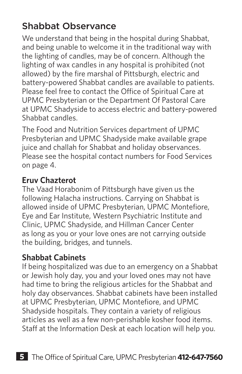## Shabbat Observance

We understand that being in the hospital during Shabbat, and being unable to welcome it in the traditional way with the lighting of candles, may be of concern. Although the lighting of wax candles in any hospital is prohibited (not allowed) by the fire marshal of Pittsburgh, electric and battery-powered Shabbat candles are available to patients. Please feel free to contact the Office of Spiritual Care at UPMC Presbyterian or the Department Of Pastoral Care at UPMC Shadyside to access electric and battery-powered Shabbat candles.

The Food and Nutrition Services department of UPMC Presbyterian and UPMC Shadyside make available grape juice and challah for Shabbat and holiday observances. Please see the hospital contact numbers for Food Services on page 4.

### **Eruv Chazterot**

The Vaad Horabonim of Pittsburgh have given us the following Halacha instructions. Carrying on Shabbat is allowed inside of UPMC Presbyterian, UPMC Montefiore, Eye and Ear Institute, Western Psychiatric Institute and Clinic, UPMC Shadyside, and Hillman Cancer Center as long as you or your love ones are not carrying outside the building, bridges, and tunnels.

### **Shabbat Cabinets**

If being hospitalized was due to an emergency on a Shabbat or Jewish holy day, you and your loved ones may not have had time to bring the religious articles for the Shabbat and holy day observances. Shabbat cabinets have been installed at UPMC Presbyterian, UPMC Montefiore, and UPMC Shadyside hospitals. They contain a variety of religious articles as well as a few non-perishable kosher food items. Staff at the Information Desk at each location will help you.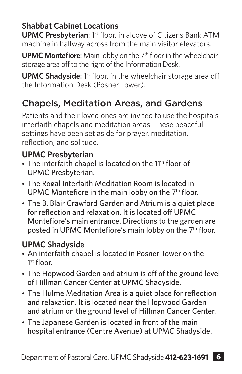### **Shabbat Cabinet Locations**

**UPMC Presbyterian:** 1<sup>st</sup> floor, in alcove of Citizens Bank ATM machine in hallway across from the main visitor elevators.

**UPMC Montefiore:** Main lobby on the 7<sup>th</sup> floor in the wheelchair storage area off to the right of the Information Desk.

**UPMC Shadyside:** 1<sup>st</sup> floor, in the wheelchair storage area off the Information Desk (Posner Tower).

## Chapels, Meditation Areas, and Gardens

Patients and their loved ones are invited to use the hospitals interfaith chapels and meditation areas. These peaceful settings have been set aside for prayer, meditation, reflection, and solitude.

### **UPMC Presbyterian**

- The interfaith chapel is located on the 11<sup>th</sup> floor of UPMC Presbyterian.
- The Rogal Interfaith Meditation Room is located in UPMC Montefiore in the main lobby on the 7<sup>th</sup> floor.
- The B. Blair Crawford Garden and Atrium is a quiet place for reflection and relaxation. It is located off UPMC Montefiore's main entrance. Directions to the garden are posted in UPMC Montefiore's main lobby on the 7<sup>th</sup> floor.

### **UPMC Shadyside**

- An interfaith chapel is located in Posner Tower on the 1<sup>st</sup> floor.
- The Hopwood Garden and atrium is off of the ground level of Hillman Cancer Center at UPMC Shadyside.
- The Hulme Meditation Area is a quiet place for reflection and relaxation. It is located near the Hopwood Garden and atrium on the ground level of Hillman Cancer Center.
- The Japanese Garden is located in front of the main hospital entrance (Centre Avenue) at UPMC Shadyside.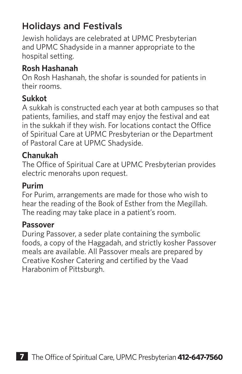## Holidays and Festivals

Jewish holidays are celebrated at UPMC Presbyterian and UPMC Shadyside in a manner appropriate to the hospital setting.

### **Rosh Hashanah**

On Rosh Hashanah, the shofar is sounded for patients in their rooms.

### **Sukkot**

A sukkah is constructed each year at both campuses so that patients, families, and staff may enjoy the festival and eat in the sukkah if they wish. For locations contact the Office of Spiritual Care at UPMC Presbyterian or the Department of Pastoral Care at UPMC Shadyside.

#### **Chanukah**

The Office of Spiritual Care at UPMC Presbyterian provides electric menorahs upon request.

#### **Purim**

For Purim, arrangements are made for those who wish to hear the reading of the Book of Esther from the Megillah. The reading may take place in a patient's room.

#### **Passover**

During Passover, a seder plate containing the symbolic foods, a copy of the Haggadah, and strictly kosher Passover meals are available. All Passover meals are prepared by Creative Kosher Catering and certified by the Vaad Harabonim of Pittsburgh.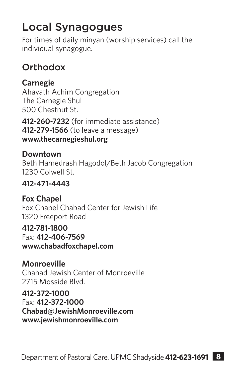# Local Synagogues

For times of daily minyan (worship services) call the individual synagogue.

## **Orthodox**

### **Carnegie**

Ahavath Achim Congregation The Carnegie Shul 500 Chestnut St.

**412-260-7232** (for immediate assistance) **412-279-1566** (to leave a message) **www.thecarnegieshul.org**

### **Downtown**

Beth Hamedrash Hagodol/Beth Jacob Congregation 1230 Colwell St.

#### **412-471-4443**

**Fox Chapel** Fox Chapel Chabad Center for Jewish Life 1320 Freeport Road

#### **412-781-1800**

Fax: **412-406-7569**

**www.chabadfoxchapel.com**

### **Monroeville**

Chabad Jewish Center of Monroeville 2715 Mosside Blvd.

#### **412-372-1000**

Fax: **412-372-1000 Chabad@JewishMonroeville.com www.jewishmonroeville.com**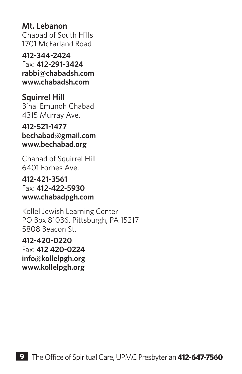**Mt. Lebanon** Chabad of South Hills 1701 McFarland Road

**412-344-2424** Fax: **412-291-3424 rabbi@chabadsh.com www.chabadsh.com**

**Squirrel Hill** B'nai Emunoh Chabad 4315 Murray Ave.

**412-521-1477 bechabad@gmail.com www.bechabad.org**

Chabad of Squirrel Hill 6401 Forbes Ave.

**412-421-3561** Fax: **412-422-5930 www.chabadpgh.com**

Kollel Jewish Learning Center PO Box 81036, Pittsburgh, PA 15217 5808 Beacon St.

**412-420-0220** Fax: **412 420-0224 info@kollelpgh.org www.kollelpgh.org**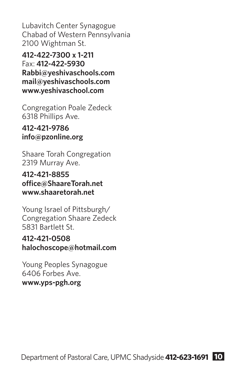Lubavitch Center Synagogue Chabad of Western Pennsylvania 2100 Wightman St.

**412-422-7300 x 1-211** Fax: **412-422-5930 Rabbi@yeshivaschools.com mail@yeshivaschools.com www.yeshivaschool.com**

Congregation Poale Zedeck 6318 Phillips Ave.

#### **412-421-9786 info@pzonline.org**

Shaare Torah Congregation 2319 Murray Ave.

**412-421-8855 office@ShaareTorah.net www.shaaretorah.net**

Young Israel of Pittsburgh/ Congregation Shaare Zedeck 5831 Bartlett St.

#### **412-421-0508 halochoscope@hotmail.com**

Young Peoples Synagogue 6406 Forbes Ave. **www.yps-pgh.org**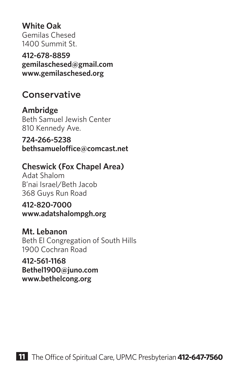**White Oak** Gemilas Chesed 1400 Summit St.

**412-678-8859 gemilaschesed@gmail.com www.gemilaschesed.org**

### **Conservative**

**Ambridge**  Beth Samuel Jewish Center 810 Kennedy Ave.

**724-266-5238 bethsamueloffice@comcast.net**

#### **Cheswick (Fox Chapel Area)**

Adat Shalom B'nai Israel/Beth Jacob 368 Guys Run Road

**412-820-7000 www.adatshalompgh.org**

**Mt. Lebanon** Beth El Congregation of South Hills 1900 Cochran Road

**412-561-1168 Bethel1900@juno.com www.bethelcong.org**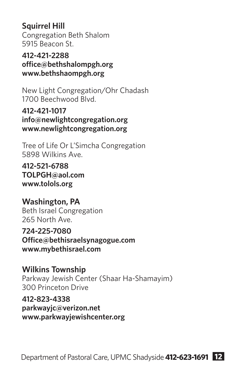### **Squirrel Hill**

Congregation Beth Shalom 5915 Beacon St.

**412-421-2288 office@bethshalompgh.org www.bethshaompgh.org**

New Light Congregation/Ohr Chadash 1700 Beechwood Blvd.

**412-421-1017 info@newlightcongregation.org www.newlightcongregation.org**

Tree of Life Or L'Simcha Congregation 5898 Wilkins Ave.

**412-521-6788 TOLPGH@aol.com www.tolols.org**

**Washington, PA** Beth Israel Congregation 265 North Ave.

**724-225-7080 Office@bethisraelsynagogue.com www.mybethisrael.com**

**Wilkins Township** Parkway Jewish Center (Shaar Ha-Shamayim) 300 Princeton Drive

**412-823-4338 parkwayjc@verizon.net www.parkwayjewishcenter.org**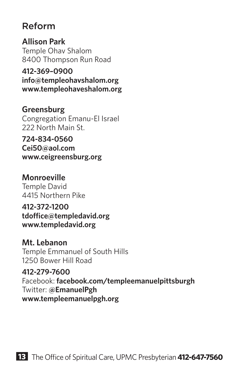### Reform

**Allison Park** Temple Ohav Shalom 8400 Thompson Run Road

**412-369–0900 info@templeohavshalom.org www.templeohaveshalom.org**

### **Greensburg**

Congregation Emanu-El Israel 222 North Main St.

**724-834-0560 Cei50@aol.com www.ceigreensburg.org**

### **Monroeville**

Temple David 4415 Northern Pike

**412-372-1200**

**tdoffice@templedavid.org www.templedavid.org**

#### **Mt. Lebanon**

Temple Emmanuel of South Hills 1250 Bower Hill Road

**412-279-7600**

Facebook: **facebook.com/templeemanuelpittsburgh** Twitter: **@EmanuelPgh www.templeemanuelpgh.org**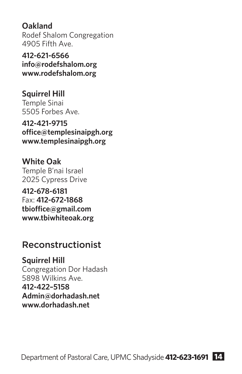**Oakland** Rodef Shalom Congregation 4905 Fifth Ave.

**412-621-6566 info@rodefshalom.org www.rodefshalom.org**

**Squirrel Hill** Temple Sinai 5505 Forbes Ave.

**412-421-9715 office@templesinaipgh.org www.templesinaipgh.org**

**White Oak** Temple B'nai Israel 2025 Cypress Drive

**412-678-6181** Fax: **412-672-1868 tbioffice@gmail.com www.tbiwhiteoak.org**

### Reconstructionist

**Squirrel Hill** Congregation Dor Hadash 5898 Wilkins Ave. **412-422–5158 Admin@dorhadash.net www.dorhadash.net**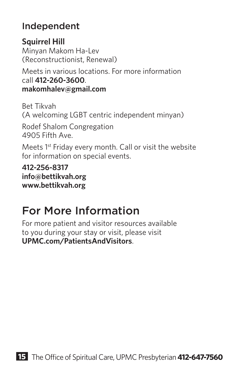### Independent

**Squirrel Hill** Minyan Makom Ha-Lev (Reconstructionist, Renewal) Meets in various locations. For more information

call **412-260-3600**. **makomhalev@gmail.com**

Bet Tikvah (A welcoming LGBT centric independent minyan)

Rodef Shalom Congregation 4905 Fifth Ave.

Meets 1st Friday every month. Call or visit the website for information on special events.

**412-256-8317 info@bettikvah.org www.bettikvah.org**

# For More Information

For more patient and visitor resources available to you during your stay or visit, please visit **UPMC.com/PatientsAndVisitors**.